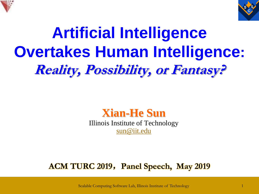



# **Artificial Intelligence Overtakes Human Intelligence: Reality, Possibility, or Fantasy?**



Illinois Institute of Technology [sun@iit.edu](mailto:sun@iit.edu)

#### **ACM TURC 2019**,**Panel Speech, May 2019**

Scalable Computing Software Lab, Illinois Institute of Technology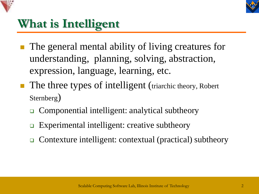



### **What is Intelligent**

- The general mental ability of living creatures for understanding, planning, solving, abstraction, expression, language, learning, etc.
- The three types of intelligent (triarchic theory, Robert Sternberg)
	- ❑ Componential intelligent: analytical subtheory
	- Experimental intelligent: creative subtheory
	- ❑ Contexture intelligent: contextual (practical) subtheory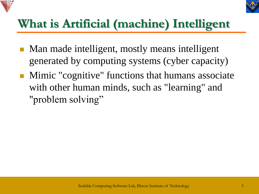



## **What is Artificial (machine) Intelligent**

- Man made intelligent, mostly means intelligent generated by computing systems (cyber capacity)
- Mimic "cognitive" functions that humans associate with other human minds, such as "learning" and "problem solving"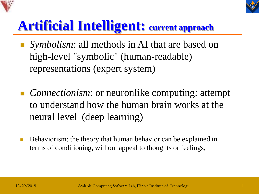



## **Artificial Intelligent: current approach**

- *Symbolism*: all methods in AI that are based on high-level "symbolic" (human-readable) representations (expert system)
- *Connectionism*: or neuronlike computing: attempt to understand how the human brain works at the neural level (deep learning)
- Behaviorism: the theory that human behavior can be explained in terms of conditioning, without appeal to thoughts or feelings,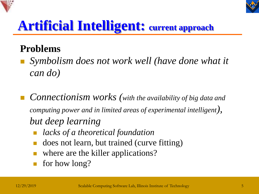



## **Artificial Intelligent: current approach**

#### **Problems**

- <sup>◼</sup> *Symbolism does not work well (have done what it can do)*
- **Connectionism works** (with the availability of big data and *computing power and in limited areas of experimental intelligent), but deep learning*
	- <sup>◼</sup> *lacks of a theoretical foundation*
	- <sup>◼</sup> does not learn, but trained (curve fitting)
	- where are the killer applications?
	- for how long?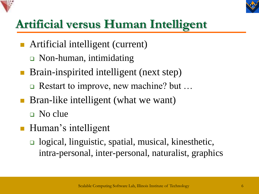



## **Artificial versus Human Intelligent**

- Artificial intelligent (current)
	- ❑ Non-human, intimidating
- Brain-inspirited intelligent (next step)
	- ❑ Restart to improve, new machine? but …
- Bran-like intelligent (what we want)

❑ No clue

- Human's intelligent
	- ❑ logical, linguistic, spatial, musical, kinesthetic, intra-personal, inter-personal, naturalist, graphics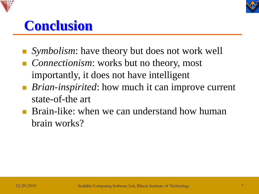



## **Conclusion**

- *Symbolism:* have theory but does not work well
- *Connectionism*: works but no theory, most importantly, it does not have intelligent
- *Brian-inspirited*: how much it can improve current state-of-the art
- Brain-like: when we can understand how human brain works?